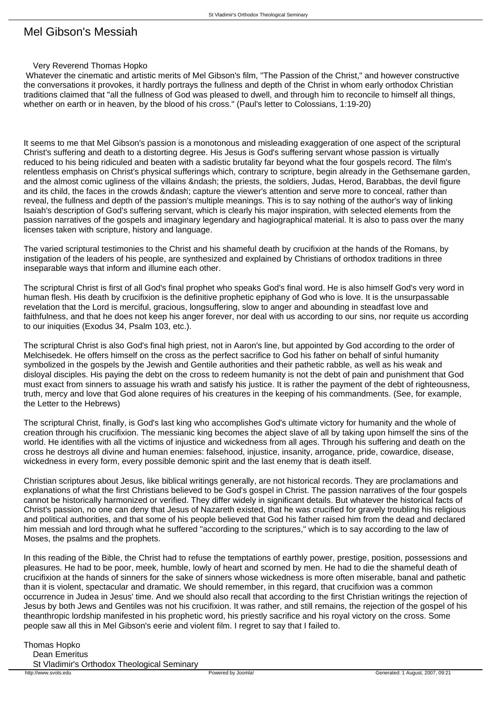## Mel Gibson's Messiah

## Very Reverend Thomas Hopko

 Whatever the cinematic and artistic merits of Mel Gibson's film, "The Passion of the Christ," and however constructive the conversations it provokes, it hardly portrays the fullness and depth of the Christ in whom early orthodox Christian traditions claimed that "all the fullness of God was pleased to dwell, and through him to reconcile to himself all things, whether on earth or in heaven, by the blood of his cross." (Paul's letter to Colossians, 1:19-20)

It seems to me that Mel Gibson's passion is a monotonous and misleading exaggeration of one aspect of the scriptural Christ's suffering and death to a distorting degree. His Jesus is God's suffering servant whose passion is virtually reduced to his being ridiculed and beaten with a sadistic brutality far beyond what the four gospels record. The film's relentless emphasis on Christ's physical sufferings which, contrary to scripture, begin already in the Gethsemane garden, and the almost comic ugliness of the villains – the priests, the soldiers, Judas, Herod, Barabbas, the devil figure and its child, the faces in the crowds – capture the viewer's attention and serve more to conceal, rather than reveal, the fullness and depth of the passion's multiple meanings. This is to say nothing of the author's way of linking Isaiah's description of God's suffering servant, which is clearly his major inspiration, with selected elements from the passion narratives of the gospels and imaginary legendary and hagiographical material. It is also to pass over the many licenses taken with scripture, history and language.

The varied scriptural testimonies to the Christ and his shameful death by crucifixion at the hands of the Romans, by instigation of the leaders of his people, are synthesized and explained by Christians of orthodox traditions in three inseparable ways that inform and illumine each other.

The scriptural Christ is first of all God's final prophet who speaks God's final word. He is also himself God's very word in human flesh. His death by crucifixion is the definitive prophetic epiphany of God who is love. It is the unsurpassable revelation that the Lord is merciful, gracious, longsuffering, slow to anger and abounding in steadfast love and faithfulness, and that he does not keep his anger forever, nor deal with us according to our sins, nor requite us according to our iniquities (Exodus 34, Psalm 103, etc.).

The scriptural Christ is also God's final high priest, not in Aaron's line, but appointed by God according to the order of Melchisedek. He offers himself on the cross as the perfect sacrifice to God his father on behalf of sinful humanity symbolized in the gospels by the Jewish and Gentile authorities and their pathetic rabble, as well as his weak and disloyal disciples. His paying the debt on the cross to redeem humanity is not the debt of pain and punishment that God must exact from sinners to assuage his wrath and satisfy his justice. It is rather the payment of the debt of righteousness, truth, mercy and love that God alone requires of his creatures in the keeping of his commandments. (See, for example, the Letter to the Hebrews)

The scriptural Christ, finally, is God's last king who accomplishes God's ultimate victory for humanity and the whole of creation through his crucifixion. The messianic king becomes the abject slave of all by taking upon himself the sins of the world. He identifies with all the victims of injustice and wickedness from all ages. Through his suffering and death on the cross he destroys all divine and human enemies: falsehood, injustice, insanity, arrogance, pride, cowardice, disease, wickedness in every form, every possible demonic spirit and the last enemy that is death itself.

Christian scriptures about Jesus, like biblical writings generally, are not historical records. They are proclamations and explanations of what the first Christians believed to be God's gospel in Christ. The passion narratives of the four gospels cannot be historically harmonized or verified. They differ widely in significant details. But whatever the historical facts of Christ's passion, no one can deny that Jesus of Nazareth existed, that he was crucified for gravely troubling his religious and political authorities, and that some of his people believed that God his father raised him from the dead and declared him messiah and lord through what he suffered "according to the scriptures," which is to say according to the law of Moses, the psalms and the prophets.

In this reading of the Bible, the Christ had to refuse the temptations of earthly power, prestige, position, possessions and pleasures. He had to be poor, meek, humble, lowly of heart and scorned by men. He had to die the shameful death of crucifixion at the hands of sinners for the sake of sinners whose wickedness is more often miserable, banal and pathetic than it is violent, spectacular and dramatic. We should remember, in this regard, that crucifixion was a common occurrence in Judea in Jesus' time. And we should also recall that according to the first Christian writings the rejection of Jesus by both Jews and Gentiles was not his crucifixion. It was rather, and still remains, the rejection of the gospel of his theanthropic lordship manifested in his prophetic word, his priestly sacrifice and his royal victory on the cross. Some people saw all this in Mel Gibson's eerie and violent film. I regret to say that I failed to.